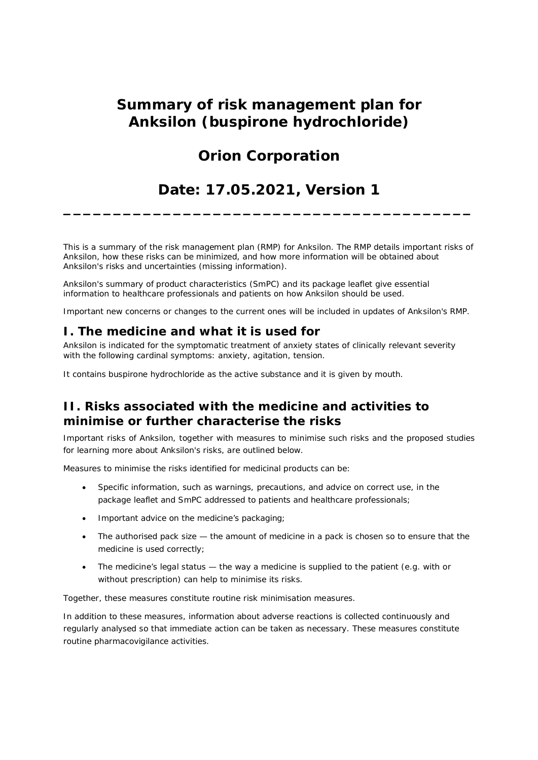## **Summary of risk management plan for Anksilon (buspirone hydrochloride)**

# **Orion Corporation**

# **Date: 17.05.2021, Version 1**

**\_\_\_\_\_\_\_\_\_\_\_\_\_\_\_\_\_\_\_\_\_\_\_\_\_\_\_\_\_\_\_\_\_\_\_\_\_\_\_\_\_**

This is a summary of the risk management plan (RMP) for Anksilon. The RMP details important risks of Anksilon, how these risks can be minimized, and how more information will be obtained about Anksilon's risks and uncertainties (missing information).

Anksilon's summary of product characteristics (SmPC) and its package leaflet give essential information to healthcare professionals and patients on how Anksilon should be used.

Important new concerns or changes to the current ones will be included in updates of Anksilon's RMP.

### **I. The medicine and what it is used for**

Anksilon is indicated for the symptomatic treatment of anxiety states of clinically relevant severity with the following cardinal symptoms: anxiety, agitation, tension.

It contains buspirone hydrochloride as the active substance and it is given by mouth.

## **II. Risks associated with the medicine and activities to minimise or further characterise the risks**

Important risks of Anksilon, together with measures to minimise such risks and the proposed studies for learning more about Anksilon's risks, are outlined below.

Measures to minimise the risks identified for medicinal products can be:

- · Specific information, such as warnings, precautions, and advice on correct use, in the package leaflet and SmPC addressed to patients and healthcare professionals;
- · Important advice on the medicine's packaging;
- The authorised pack size the amount of medicine in a pack is chosen so to ensure that the medicine is used correctly;
- The medicine's legal status the way a medicine is supplied to the patient (e.g. with or without prescription) can help to minimise its risks.

Together, these measures constitute routine risk minimisation measures.

In addition to these measures, information about adverse reactions is collected continuously and regularly analysed so that immediate action can be taken as necessary. These measures constitute *routine pharmacovigilance activities*.